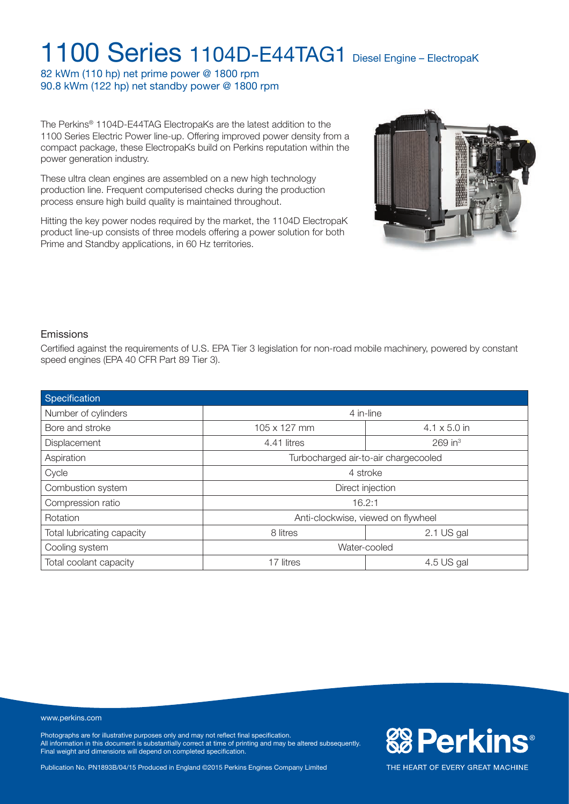82 kWm (110 hp) net prime power @ 1800 rpm 90.8 kWm (122 hp) net standby power @ 1800 rpm

The Perkins® 1104D-E44TAG ElectropaKs are the latest addition to the 1100 Series Electric Power line-up. Offering improved power density from a compact package, these ElectropaKs build on Perkins reputation within the power generation industry.

These ultra clean engines are assembled on a new high technology production line. Frequent computerised checks during the production process ensure high build quality is maintained throughout.

Hitting the key power nodes required by the market, the 1104D ElectropaK product line-up consists of three models offering a power solution for both Prime and Standby applications, in 60 Hz territories.



**& Perkins®** 

THE HEART OF EVERY GREAT MACHINE

### Emissions

Certified against the requirements of U.S. EPA Tier 3 legislation for non-road mobile machinery, powered by constant speed engines (EPA 40 CFR Part 89 Tier 3).

| Specification              |                                      |                       |  |
|----------------------------|--------------------------------------|-----------------------|--|
| Number of cylinders        | 4 in-line                            |                       |  |
| Bore and stroke            | 105 x 127 mm                         | $4.1 \times 5.0$ in   |  |
| Displacement               | 4.41 litres                          | $269$ in <sup>3</sup> |  |
| Aspiration                 | Turbocharged air-to-air chargecooled |                       |  |
| Cycle                      | 4 stroke                             |                       |  |
| Combustion system          | Direct injection                     |                       |  |
| Compression ratio          | 16.2:1                               |                       |  |
| <b>Rotation</b>            | Anti-clockwise, viewed on flywheel   |                       |  |
| Total lubricating capacity | 8 litres                             | 2.1 US gal            |  |
| Cooling system             | Water-cooled                         |                       |  |
| Total coolant capacity     | 17 litres<br>4.5 US gal              |                       |  |

#### www.perkins.com

Photographs are for illustrative purposes only and may not reflect final specification. All information in this document is substantially correct at time of printing and may be altered subsequently. Final weight and dimensions will depend on completed specification.

Publication No. PN1893B/04/15 Produced in England ©2015 Perkins Engines Company Limited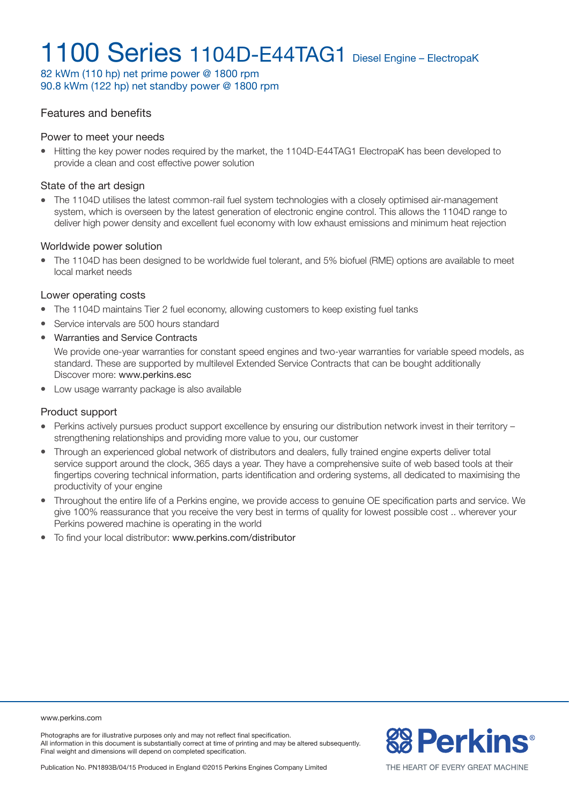82 kWm (110 hp) net prime power @ 1800 rpm 90.8 kWm (122 hp) net standby power @ 1800 rpm

### Features and benefits

#### Power to meet your needs

• Hitting the key power nodes required by the market, the 1104D-E44TAG1 ElectropaK has been developed to provide a clean and cost effective power solution

#### State of the art design

• The 1104D utilises the latest common-rail fuel system technologies with a closely optimised air-management system, which is overseen by the latest generation of electronic engine control. This allows the 1104D range to deliver high power density and excellent fuel economy with low exhaust emissions and minimum heat rejection

#### Worldwide power solution

<sup>l</sup> The 1104D has been designed to be worldwide fuel tolerant, and 5% biofuel (RME) options are available to meet local market needs

#### Lower operating costs

- The 1104D maintains Tier 2 fuel economy, allowing customers to keep existing fuel tanks
- Service intervals are 500 hours standard
- Warranties and Service Contracts

We provide one-year warranties for constant speed engines and two-year warranties for variable speed models, as standard. These are supported by multilevel Extended Service Contracts that can be bought additionally Discover more: www.perkins.esc

• Low usage warranty package is also available

### Product support

- Perkins actively pursues product support excellence by ensuring our distribution network invest in their territory strengthening relationships and providing more value to you, our customer
- Through an experienced global network of distributors and dealers, fully trained engine experts deliver total service support around the clock, 365 days a year. They have a comprehensive suite of web based tools at their fingertips covering technical information, parts identification and ordering systems, all dedicated to maximising the productivity of your engine
- Throughout the entire life of a Perkins engine, we provide access to genuine OE specification parts and service. We give 100% reassurance that you receive the very best in terms of quality for lowest possible cost .. wherever your Perkins powered machine is operating in the world
- $\bullet$  To find your local distributor: www.perkins.com/distributor

#### www.perkins.com

Photographs are for illustrative purposes only and may not reflect final specification. All information in this document is substantially correct at time of printing and may be altered subsequently. Final weight and dimensions will depend on completed specification.



Publication No. PN1893B/04/15 Produced in England ©2015 Perkins Engines Company Limited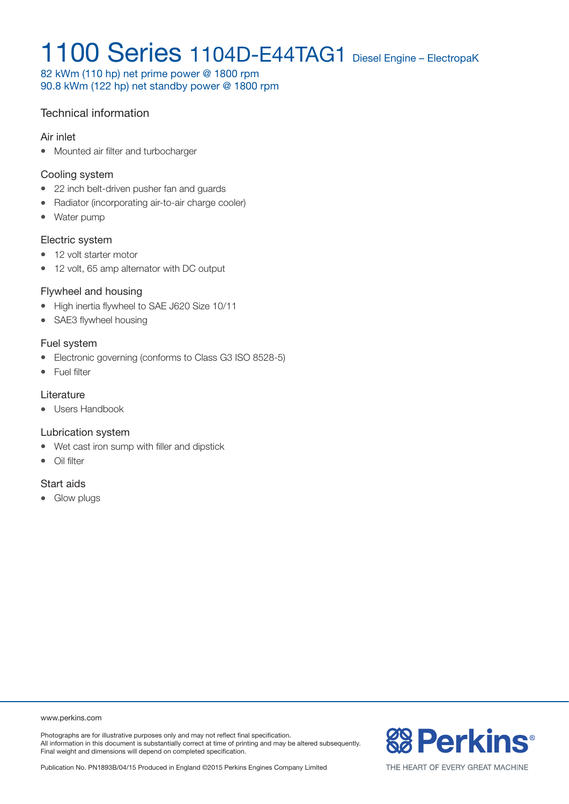82 kWm (110 hp) net prime power @ 1800 rpm 90.8 kWm (122 hp) net standby power @ 1800 rpm

### Technical information

#### Air inlet

• Mounted air filter and turbocharger

### Cooling system

- 22 inch belt-driven pusher fan and guards
- Radiator (incorporating air-to-air charge cooler)
- Water pump

### Electric system

- 12 volt starter motor
- 12 volt, 65 amp alternator with DC output

### Flywheel and housing

- High inertia flywheel to SAE J620 Size 10/11
- SAE3 flywheel housing

### Fuel system

- Electronic governing (conforms to Class G3 ISO 8528-5)
- Fuel filter

### **Literature**

• Users Handbook

### Lubrication system

- Wet cast iron sump with filler and dipstick
- $\bullet$  Oil filter

### Start aids

• Glow plugs

www.perkins.com

Photographs are for illustrative purposes only and may not reflect final specification. All information in this document is substantially correct at time of printing and may be altered subsequently. Final weight and dimensions will depend on completed specification.

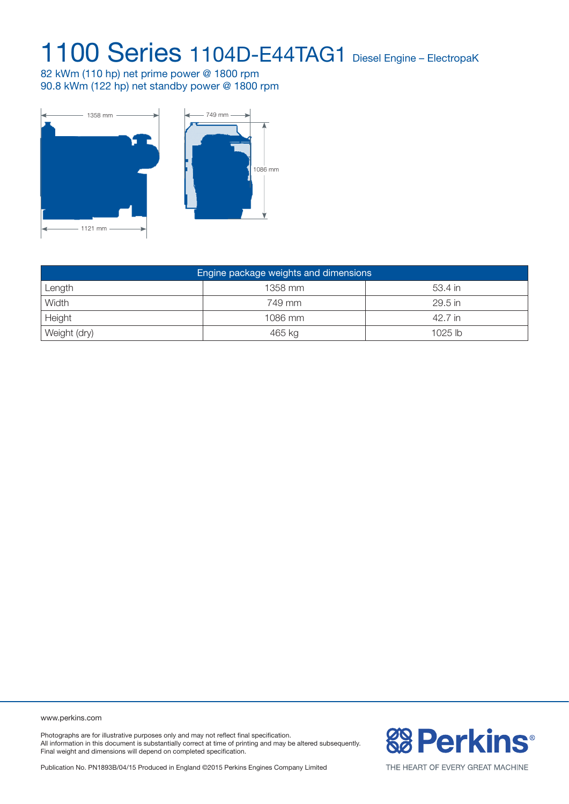82 kWm (110 hp) net prime power @ 1800 rpm 90.8 kWm (122 hp) net standby power @ 1800 rpm



| Engine package weights and dimensions |         |           |  |  |  |
|---------------------------------------|---------|-----------|--|--|--|
| Length                                | 1358 mm | 53.4 in   |  |  |  |
| Width                                 | 749 mm  | 29.5 in   |  |  |  |
| Height                                | 1086 mm | 42.7 in   |  |  |  |
| Weight (dry)                          | 465 kg  | $1025$ lb |  |  |  |

www.perkins.com

Photographs are for illustrative purposes only and may not reflect final specification. All information in this document is substantially correct at time of printing and may be altered subsequently. Final weight and dimensions will depend on completed specification.

Publication No. PN1893B/04/15 Produced in England ©2015 Perkins Engines Company Limited

**& Perkins®**